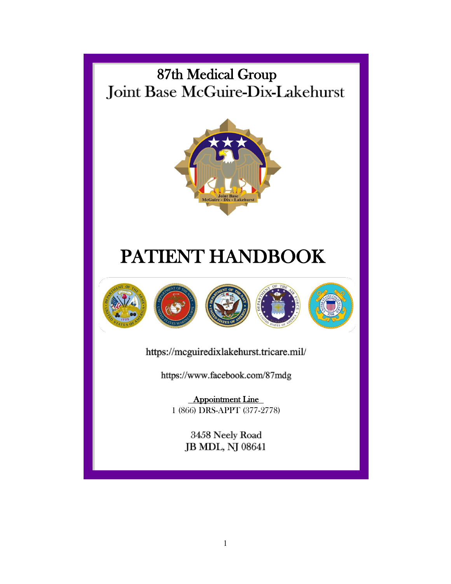# 87th Medical Group<br>Joint Base McGuire-Dix-Lakehurst



# PATIENT HANDBOOK









https://mcguiredixlakehurst.tricare.mil/

https://www.facebook.com/87mdg

Appointment Line 1 (866) DRS-APPT (377-2778)

> 3458 Neely Road JB MDL, NJ 08641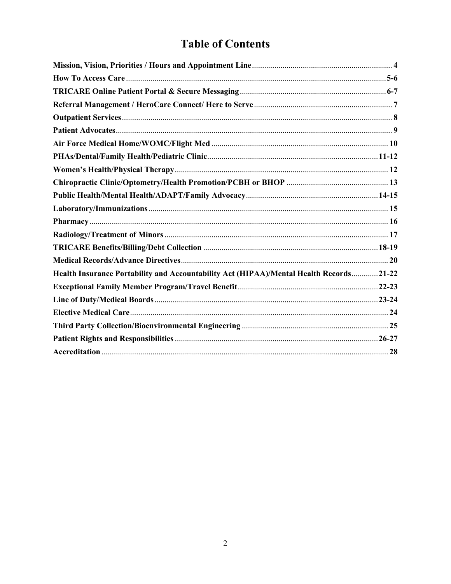# **Table of Contents**

| Health Insurance Portability and Accountability Act (HIPAA)/Mental Health Records21-22 |  |
|----------------------------------------------------------------------------------------|--|
|                                                                                        |  |
|                                                                                        |  |
|                                                                                        |  |
|                                                                                        |  |
|                                                                                        |  |
|                                                                                        |  |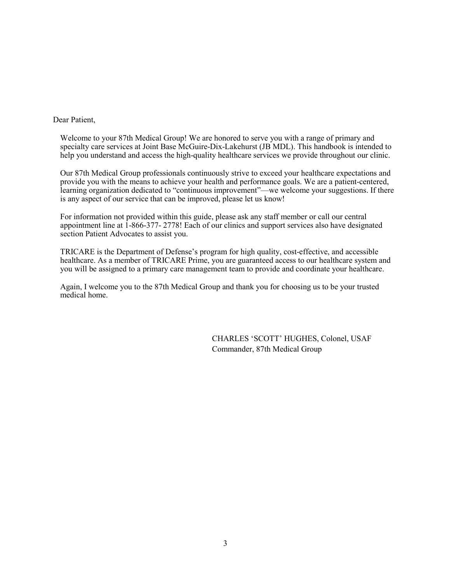#### Dear Patient,

Welcome to your 87th Medical Group! We are honored to serve you with a range of primary and specialty care services at Joint Base McGuire-Dix-Lakehurst (JB MDL). This handbook is intended to help you understand and access the high-quality healthcare services we provide throughout our clinic.

Our 87th Medical Group professionals continuously strive to exceed your healthcare expectations and provide you with the means to achieve your health and performance goals. We are a patient-centered, learning organization dedicated to "continuous improvement"—we welcome your suggestions. If there is any aspect of our service that can be improved, please let us know!

For information not provided within this guide, please ask any staff member or call our central appointment line at 1-866-377- 2778! Each of our clinics and support services also have designated section Patient Advocates to assist you.

TRICARE is the Department of Defense's program for high quality, cost-effective, and accessible healthcare. As a member of TRICARE Prime, you are guaranteed access to our healthcare system and you will be assigned to a primary care management team to provide and coordinate your healthcare.

Again, I welcome you to the 87th Medical Group and thank you for choosing us to be your trusted medical home.

> CHARLES 'SCOTT' HUGHES, Colonel, USAF Commander, 87th Medical Group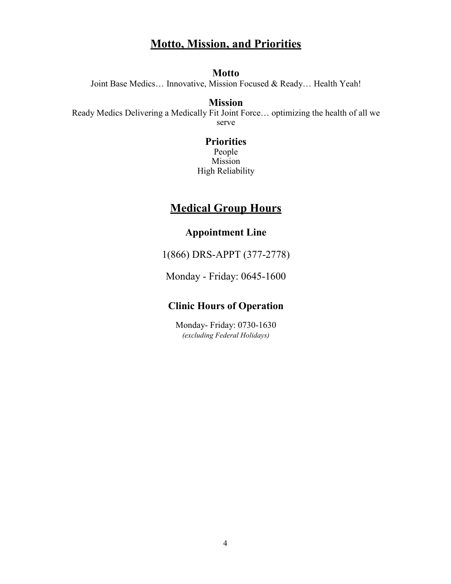# **Motto, Mission, and Priorities**

#### **Motto**

Joint Base Medics… Innovative, Mission Focused & Ready… Health Yeah!

# **Mission**

Ready Medics Delivering a Medically Fit Joint Force… optimizing the health of all we serve

#### **Priorities** People Mission High Reliability

# **Medical Group Hours**

# **Appointment Line**

1(866) DRS-APPT (377-2778)

Monday - Friday: 0645-1600

# **Clinic Hours of Operation**

Monday- Friday: 0730-1630 *(excluding Federal Holidays)*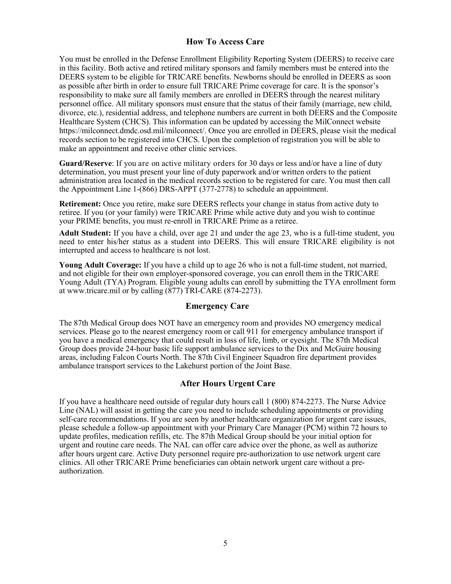#### **How To Access Care**

You must be enrolled in the Defense Enrollment Eligibility Reporting System (DEERS) to receive care in this facility. Both active and retired military sponsors and family members must be entered into the DEERS system to be eligible for TRICARE benefits. Newborns should be enrolled in DEERS as soon as possible after birth in order to ensure full TRICARE Prime coverage for care. It is the sponsor's responsibility to make sure all family members are enrolled in DEERS through the nearest military personnel office. All military sponsors must ensure that the status of their family (marriage, new child, divorce, etc.), residential address, and telephone numbers are current in both DEERS and the Composite Healthcare System (CHCS). This information can be updated by accessing the MilConnect website https://milconnect.dmdc.osd.mil/milconnect/. Once you are enrolled in DEERS, please visit the medical records section to be registered into CHCS. Upon the completion of registration you will be able to make an appointment and receive other clinic services.

**Guard/Reserve**: If you are on active military orders for 30 days or less and/or have a line of duty determination, you must present your line of duty paperwork and/or written orders to the patient administration area located in the medical records section to be registered for care. You must then call the Appointment Line 1-(866) DRS-APPT (377-2778) to schedule an appointment.

**Retirement:** Once you retire, make sure DEERS reflects your change in status from active duty to retiree. If you (or your family) were TRICARE Prime while active duty and you wish to continue your PRIME benefits, you must re-enroll in TRICARE Prime as a retiree.

**Adult Student:** If you have a child, over age 21 and under the age 23, who is a full-time student, you need to enter his/her status as a student into DEERS. This will ensure TRICARE eligibility is not interrupted and access to healthcare is not lost.

**Young Adult Coverage:** If you have a child up to age 26 who is not a full-time student, not married, and not eligible for their own employer-sponsored coverage, you can enroll them in the TRICARE Young Adult (TYA) Program. Eligible young adults can enroll by submitting the TYA enrollment form at [www.tricare.mil o](http://www.tricare.mil/)r by calling (877) TRI-CARE (874-2273).

#### **Emergency Care**

The 87th Medical Group does NOT have an emergency room and provides NO emergency medical services. Please go to the nearest emergency room or call 911 for emergency ambulance transport if you have a medical emergency that could result in loss of life, limb, or eyesight. The 87th Medical Group does provide 24-hour basic life support ambulance services to the Dix and McGuire housing areas, including Falcon Courts North. The 87th Civil Engineer Squadron fire department provides ambulance transport services to the Lakehurst portion of the Joint Base.

#### **After Hours Urgent Care**

If you have a healthcare need outside of regular duty hours call 1 (800) 874-2273. The Nurse Advice Line (NAL) will assist in getting the care you need to include scheduling appointments or providing self-care recommendations. If you are seen by another healthcare organization for urgent care issues, please schedule a follow-up appointment with your Primary Care Manager (PCM) within 72 hours to update profiles, medication refills, etc. The 87th Medical Group should be your initial option for urgent and routine care needs. The NAL can offer care advice over the phone, as well as authorize after hours urgent care. Active Duty personnel require pre-authorization to use network urgent care clinics. All other TRICARE Prime beneficiaries can obtain network urgent care without a preauthorization.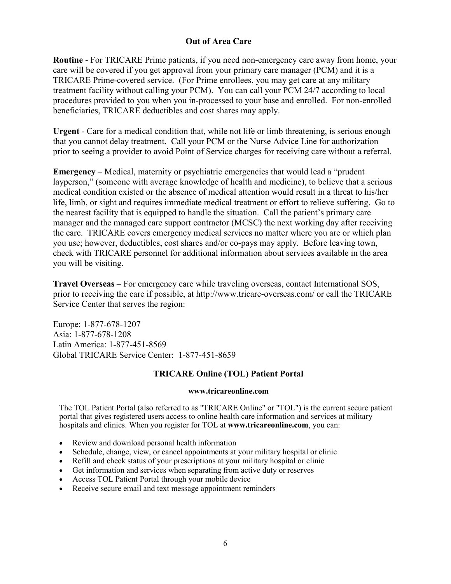# **Out of Area Care**

**Routine** - For TRICARE Prime patients, if you need non-emergency care away from home, your care will be covered if you get approval from your primary care manager (PCM) and it is a TRICARE Prime-covered service. (For Prime enrollees, you may get care at any military treatment facility without calling your PCM). You can call your PCM 24/7 according to local procedures provided to you when you in-processed to your base and enrolled. For non-enrolled beneficiaries, TRICARE deductibles and cost shares may apply.

**Urgent** - Care for a medical condition that, while not life or limb threatening, is serious enough that you cannot delay treatment. Call your PCM or the Nurse Advice Line for authorization prior to seeing a provider to avoid Point of Service charges for receiving care without a referral.

**Emergency** – Medical, maternity or psychiatric emergencies that would lead a "prudent layperson," (someone with average knowledge of health and medicine), to believe that a serious medical condition existed or the absence of medical attention would result in a threat to his/her life, limb, or sight and requires immediate medical treatment or effort to relieve suffering. Go to the nearest facility that is equipped to handle the situation. Call the patient's primary care manager and the managed care support contractor (MCSC) the next working day after receiving the care. TRICARE covers emergency medical services no matter where you are or which plan you use; however, deductibles, cost shares and/or co-pays may apply. Before leaving town, check with TRICARE personnel for additional information about services available in the area you will be visiting.

**Travel Overseas** – For emergency care while traveling overseas, contact International SOS, prior to receiving the care if possible, at<http://www.tricare-overseas.com/> or call the TRICARE Service Center that serves the region:

Europe: 1-877-678-1207 Asia: 1-877-678-1208 Latin America: 1-877-451-8569 Global TRICARE Service Center: 1-877-451-8659

# **TRICARE Online (TOL) Patient Portal**

#### **[www.tricareonline.com](http://www.tricareonline.com/)**

The TOL Patient Portal (also referred to as "TRICARE Online" or "TOL") is the current secure patient portal that gives registered users access to online health care information and services at military hospitals and clinics. When you register for TOL at **[www.tricareonline.com](http://www.tricareonline.com/)**, you can:

- Review and download personal health information
- Schedule, change, view, or cancel appointments at your military hospital or clinic
- Refill and check status of your prescriptions at your military hospital or clinic
- Get information and services when separating from active duty or reserves
- Access TOL Patient Portal through your mobile device
- Receive secure email and text message appointment reminders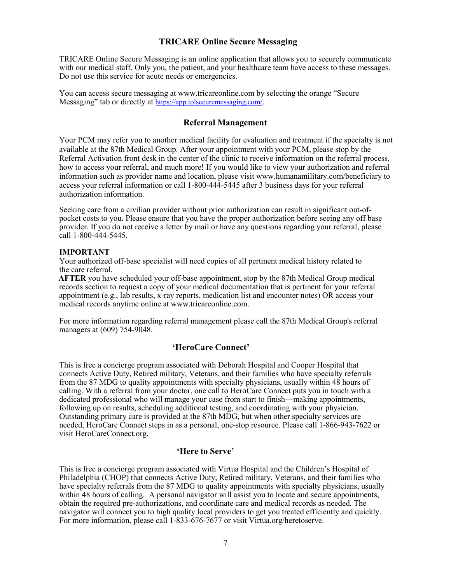#### **TRICARE Online Secure Messaging**

TRICARE Online Secure Messaging is an online application that allows you to securely communicate with our medical staff. Only you, the patient, and your healthcare team have access to these messages. Do not use this service for acute needs or emergencies.

You can access secure messaging a[t www.tricareonline.com b](http://www.tricareonline.com/)y selecting the orange "Secure Messaging" tab or directly at [https://app.tolsecuremessaging.com/.](https://app.tolsecuremessaging.com/)

#### **Referral Management**

Your PCM may refer you to another medical facility for evaluation and treatment if the specialty is not available at the 87th Medical Group. After your appointment with your PCM, please stop by the Referral Activation front desk in the center of the clinic to receive information on the referral process, how to access your referral, and much more! If you would like to view your authorization and referral information such as provider name and location, please visit [www.humanamilitary.com/beneficiary t](http://www.humanamilitary.com/beneficiary)o access your referral information or call 1-800-444-5445 after 3 business days for your referral authorization information.

Seeking care from a civilian provider without prior authorization can result in significant out-ofpocket costs to you. Please ensure that you have the proper authorization before seeing any off base provider. If you do not receive a letter by mail or have any questions regarding your referral, please call 1-800-444-5445.

#### **IMPORTANT**

Your authorized off-base specialist will need copies of all pertinent medical history related to the care referral.

 **AFTER** you have scheduled your off-base appointment, stop by the 87th Medical Group medical records section to request a copy of your medical documentation that is pertinent for your referral appointment (e.g., lab results, x-ray reports, medication list and encounter notes) OR access your medical records anytime online at [www.tricareonline.com.](http://www.tricareonline.com/)

For more information regarding referral management please call the 87th Medical Group's referral managers at (609) 754-9048.

#### **'HeroCare Connect'**

This is free a concierge program associated with Deborah Hospital and Cooper Hospital that connects Active Duty, Retired military, Veterans, and their families who have specialty referrals from the 87 MDG to quality appointments with specialty physicians, usually within 48 hours of calling. With a referral from your doctor, one call to HeroCare Connect puts you in touch with a dedicated professional who will manage your case from start to finish—making appointments, following up on results, scheduling additional testing, and coordinating with your physician. Outstanding primary care is provided at the 87th MDG, but when other specialty services are needed, HeroCare Connect steps in as a personal, one-stop resource. Please call 1-866-943-7622 or visit HeroCareConnect.org.

#### **'Here to Serve'**

This is free a concierge program associated with Virtua Hospital and the Children's Hospital of Philadelphia (CHOP) that connects Active Duty, Retired military, Veterans, and their families who have specialty referrals from the 87 MDG to quality appointments with specialty physicians, usually within 48 hours of calling. A personal navigator will assist you to locate and secure appointments, obtain the required pre-authorizations, and coordinate care and medical records as needed. The navigator will connect you to high quality local providers to get you treated efficiently and quickly. For more information, please call 1-833-676-7677 or visit Virtua.org/heretoserve.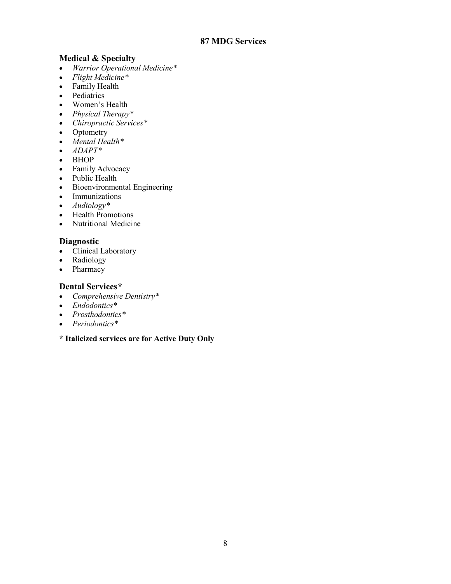# **Medical & Specialty**

- *Warrior Operational Medicine\**
- *Flight Medicine\**
- Family Health
- Pediatrics
- Women's Health
- *Physical Therapy\**
- *Chiropractic Services\**
- Optometry
- *Mental Health\**
- *ADAPT\**
- BHOP
- Family Advocacy
- Public Health
- Bioenvironmental Engineering
- Immunizations
- *Audiology\**
- Health Promotions
- Nutritional Medicine

#### **Diagnostic**

- Clinical Laboratory
- Radiology
- Pharmacy

#### **Dental Services***\**

- *Comprehensive Dentistry\**
- *Endodontics\**
- *Prosthodontics\**
- *Periodontics\**
- **\* Italicized services are for Active Duty Only**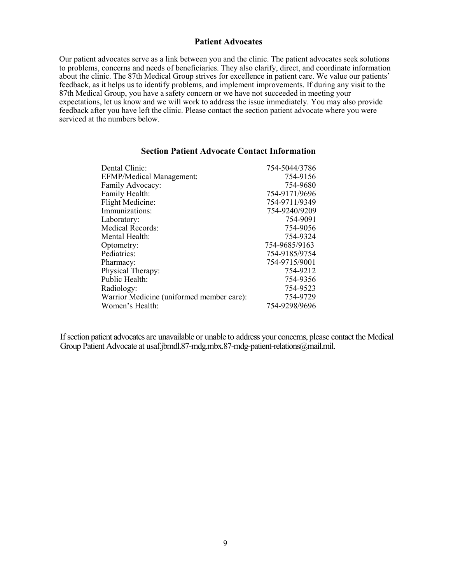#### **Patient Advocates**

Our patient advocates serve as a link between you and the clinic. The patient advocates seek solutions to problems, concerns and needs of beneficiaries. They also clarify, direct, and coordinate information about the clinic. The 87th Medical Group strives for excellence in patient care. We value our patients' feedback, as it helps us to identify problems, and implement improvements. If during any visit to the 87th Medical Group, you have a safety concern or we have not succeeded in meeting your expectations, let us know and we will work to address the issue immediately. You may also provide feedback after you have left the clinic. Please contact the section patient advocate where you were serviced at the numbers below.

| Dental Clinic:                            | 754-5044/3786 |
|-------------------------------------------|---------------|
| <b>EFMP/Medical Management:</b>           | 754-9156      |
| Family Advocacy:                          | 754-9680      |
| Family Health:                            | 754-9171/9696 |
| <b>Flight Medicine:</b>                   | 754-9711/9349 |
| Immunizations:                            | 754-9240/9209 |
| Laboratory:                               | 754-9091      |
| <b>Medical Records:</b>                   | 754-9056      |
| Mental Health:                            | 754-9324      |
| Optometry:                                | 754-9685/9163 |
| Pediatrics:                               | 754-9185/9754 |
| Pharmacy:                                 | 754-9715/9001 |
| Physical Therapy:                         | 754-9212      |
| Public Health:                            | 754-9356      |
| Radiology:                                | 754-9523      |
| Warrior Medicine (uniformed member care): | 754-9729      |
| Women's Health:                           | 754-9298/9696 |
|                                           |               |

#### **Section Patient Advocate Contact Information**

If section patient advocates are unavailable or unable to address your concerns, please contact the Medical Group Patient Advocate at [usaf.jbmdl.87-mdg.mbx.87-mdg-patient-relations@mail.mil.](mailto:usaf.jbmdl.87-mdg.mbx.87-mdg-patient-relations@mail.mil)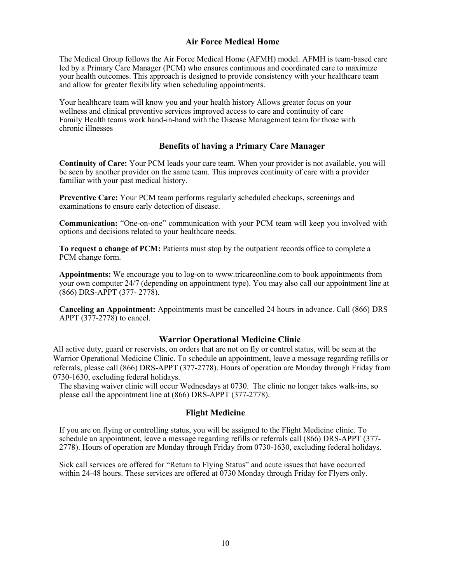#### **Air Force Medical Home**

The Medical Group follows the Air Force Medical Home (AFMH) model. AFMH is team-based care led by a Primary Care Manager (PCM) who ensures continuous and coordinated care to maximize your health outcomes. This approach is designed to provide consistency with your healthcare team and allow for greater flexibility when scheduling appointments.

Your healthcare team will know you and your health history Allows greater focus on your wellness and clinical preventive services improved access to care and continuity of care Family Health teams work hand-in-hand with the Disease Management team for those with chronic illnesses

#### **Benefits of having a Primary Care Manager**

**Continuity of Care:** Your PCM leads your care team. When your provider is not available, you will be seen by another provider on the same team. This improves continuity of care with a provider familiar with your past medical history.

**Preventive Care:** Your PCM team performs regularly scheduled checkups, screenings and examinations to ensure early detection of disease.

**Communication:** "One-on-one" communication with your PCM team will keep you involved with options and decisions related to your healthcare needs.

**To request a change of PCM:** Patients must stop by the outpatient records office to complete a PCM change form.

**Appointments:** We encourage you to log-on to [www.tricareonline.com t](http://www.tricareonline.com/)o book appointments from your own computer 24/7 (depending on appointment type). You may also call our appointment line at (866) DRS-APPT (377- 2778).

**Canceling an Appointment:** Appointments must be cancelled 24 hours in advance. Call (866) DRS APPT (377-2778) to cancel.

#### **Warrior Operational Medicine Clinic**

All active duty, guard or reservists, on orders that are not on fly or control status, will be seen at the Warrior Operational Medicine Clinic. To schedule an appointment, leave a message regarding refills or referrals, please call (866) DRS-APPT (377-2778). Hours of operation are Monday through Friday from 0730-1630, excluding federal holidays.

The shaving waiver clinic will occur Wednesdays at 0730. The clinic no longer takes walk-ins, so please call the appointment line at (866) DRS-APPT (377-2778).

#### **Flight Medicine**

If you are on flying or controlling status, you will be assigned to the Flight Medicine clinic. To schedule an appointment, leave a message regarding refills or referrals call (866) DRS-APPT (377- 2778). Hours of operation are Monday through Friday from 0730-1630, excluding federal holidays.

Sick call services are offered for "Return to Flying Status" and acute issues that have occurred within 24-48 hours. These services are offered at 0730 Monday through Friday for Flyers only.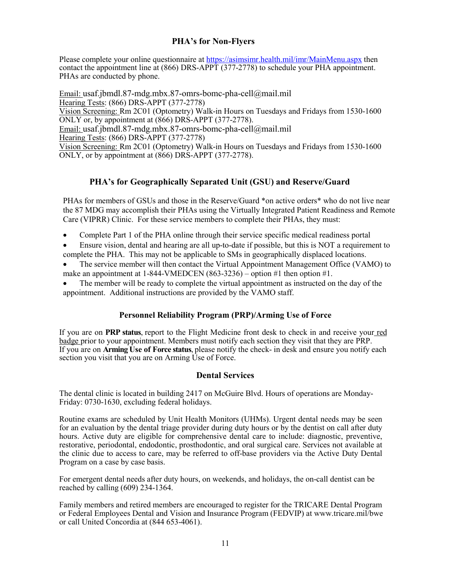#### **PHA's for Non-Flyers**

Please complete your online questionnaire at<https://asimsimr.health.mil/imr/MainMenu.aspx> then contact the appointment line at (866) DRS-APPT (377-2778) to schedule your PHA appointment. PHAs are conducted by phone.

Email: usaf.jbmdl.87-mdg.mbx.87-omrs-bomc-pha-cell@mail.mil Hearing Tests: (866) DRS-APPT (377-2778) Vision Screening: Rm 2C01 (Optometry) Walk-in Hours on Tuesdays and Fridays from 1530-1600 ONLY or, by appointment at (866) DRS-APPT (377-2778). Email: usaf.jbmdl.87-mdg.mbx.87-omrs-bomc-pha-cell@mail.mil Hearing Tests: (866) DRS-APPT (377-2778) Vision Screening: Rm 2C01 (Optometry) Walk-in Hours on Tuesdays and Fridays from 1530-1600 ONLY, or by appointment at (866) DRS-APPT (377-2778).

#### **PHA's for Geographically Separated Unit (GSU) and Reserve/Guard**

PHAs for members of GSUs and those in the Reserve/Guard \*on active orders\* who do not live near the 87 MDG may accomplish their PHAs using the Virtually Integrated Patient Readiness and Remote Care (VIPRR) Clinic. For these service members to complete their PHAs, they must:

- Complete Part 1 of the PHA online through their service specific medical readiness portal
- Ensure vision, dental and hearing are all up-to-date if possible, but this is NOT a requirement to complete the PHA. This may not be applicable to SMs in geographically displaced locations.
- The service member will then contact the Virtual Appointment Management Office (VAMO) to make an appointment at  $1-844-VMEDCEN (863-3236)$  – option #1 then option #1.
- The member will be ready to complete the virtual appointment as instructed on the day of the appointment. Additional instructions are provided by the VAMO staff.

#### **Personnel Reliability Program (PRP)/Arming Use of Force**

If you are on **PRP status**, report to the Flight Medicine front desk to check in and receive your red badge prior to your appointment. Members must notify each section they visit that they are PRP. If you are on **Arming Use of Force status**, please notify the check- in desk and ensure you notify each section you visit that you are on Arming Use of Force.

#### **Dental Services**

The dental clinic is located in building 2417 on McGuire Blvd. Hours of operations are Monday-Friday: 0730-1630, excluding federal holidays.

Routine exams are scheduled by Unit Health Monitors (UHMs). Urgent dental needs may be seen for an evaluation by the dental triage provider during duty hours or by the dentist on call after duty hours. Active duty are eligible for comprehensive dental care to include: diagnostic, preventive, restorative, periodontal, endodontic, prosthodontic, and oral surgical care. Services not available at the clinic due to access to care, may be referred to off-base providers via the Active Duty Dental Program on a case by case basis.

For emergent dental needs after duty hours, on weekends, and holidays, the on-call dentist can be reached by calling (609) 234-1364.

Family members and retired members are encouraged to register for the TRICARE Dental Program or Federal Employees Dental and Vision and Insurance Program (FEDVIP) at [www.tricare.mil/b](http://www.tricare.mil/)we or call United Concordia at (844 653-4061).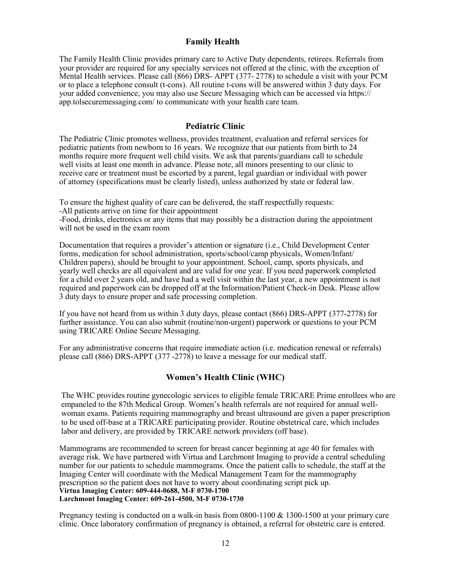#### **Family Health**

The Family Health Clinic provides primary care to Active Duty dependents, retirees. Referrals from your provider are required for any specialty services not offered at the clinic, with the exception of Mental Health services. Please call (866) DRS- APPT (377- 2778) to schedule a visit with your PCM or to place a telephone consult (t-cons). All routine t-cons will be answered within 3 duty days. For your added convenience, you may also use Secure Messaging which can be accessed via https:// app.tolsecuremessaging.com/ to communicate with your health care team.

#### **Pediatric Clinic**

The Pediatric Clinic promotes wellness, provides treatment, evaluation and referral services for pediatric patients from newborn to 16 years. We recognize that our patients from birth to 24 months require more frequent well child visits. We ask that parents/guardians call to schedule well visits at least one month in advance. Please note, all minors presenting to our clinic to receive care or treatment must be escorted by a parent, legal guardian or individual with power of attorney (specifications must be clearly listed), unless authorized by state or federal law.

To ensure the highest quality of care can be delivered, the staff respectfully requests:

-All patients arrive on time for their appointment

-Food, drinks, electronics or any items that may possibly be a distraction during the appointment will not be used in the exam room

Documentation that requires a provider's attention or signature (i.e., Child Development Center forms, medication for school administration, sports/school/camp physicals, Women/Infant/ Children papers), should be brought to your appointment. School, camp, sports physicals, and yearly well checks are all equivalent and are valid for one year. If you need paperwork completed for a child over 2 years old, and have had a well visit within the last year, a new appointment is not required and paperwork can be dropped off at the Information/Patient Check-in Desk. Please allow 3 duty days to ensure proper and safe processing completion.

If you have not heard from us within 3 duty days, please contact (866) DRS-APPT (377-2778) for further assistance. You can also submit (routine/non-urgent) paperwork or questions to your PCM using TRICARE Online Secure Messaging.

For any administrative concerns that require immediate action (i.e. medication renewal or referrals) please call (866) DRS-APPT (377 -2778) to leave a message for our medical staff.

#### **Women's Health Clinic (WHC)**

The WHC provides routine gynecologic services to eligible female TRICARE Prime enrollees who are empaneled to the 87th Medical Group. Women's health referrals are not required for annual wellwoman exams. Patients requiring mammography and breast ultrasound are given a paper prescription to be used off-base at a TRICARE participating provider. Routine obstetrical care, which includes labor and delivery, are provided by TRICARE network providers (off base).

Mammograms are recommended to screen for breast cancer beginning at age 40 for females with average risk. We have partnered with Virtua and Larchmont Imaging to provide a central scheduling number for our patients to schedule mammograms. Once the patient calls to schedule, the staff at the Imaging Center will coordinate with the Medical Management Team for the mammography prescription so the patient does not have to worry about coordinating script pick up. **Virtua Imaging Center: 609-444-0688, M-F 0730-1700 Larchmont Imaging Center: 609-261-4500, M-F 0730-1730**

Pregnancy testing is conducted on a walk-in basis from  $0800-1100 \& 1300-1500$  at your primary care clinic. Once laboratory confirmation of pregnancy is obtained, a referral for obstetric care is entered.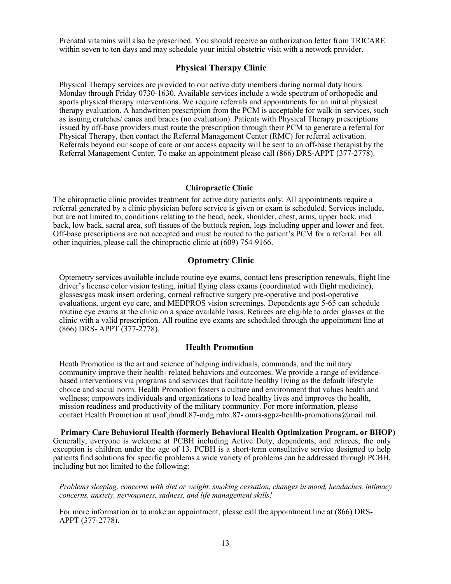Prenatal vitamins will also be prescribed. You should receive an authorization letter from TRICARE within seven to ten days and may schedule your initial obstetric visit with a network provider.

#### **Physical Therapy Clinic**

Physical Therapy services are provided to our active duty members during normal duty hours Monday through Friday 0730-1630. Available services include a wide spectrum of orthopedic and sports physical therapy interventions. We require referrals and appointments for an initial physical therapy evaluation. A handwritten prescription from the PCM is acceptable for walk-in services, such as issuing crutches/ canes and braces (no evaluation). Patients with Physical Therapy prescriptions issued by off-base providers must route the prescription through their PCM to generate a referral for Physical Therapy, then contact the Referral Management Center (RMC) for referral activation. Referrals beyond our scope of care or our access capacity will be sent to an off-base therapist by the Referral Management Center. To make an appointment please call (866) DRS-APPT (377-2778).

#### **Chiropractic Clinic**

The chiropractic clinic provides treatment for active duty patients only. All appointments require a referral generated by a clinic physician before service is given or exam is scheduled. Services include, but are not limited to, conditions relating to the head, neck, shoulder, chest, arms, upper back, mid back, low back, sacral area, soft tissues of the buttock region, legs including upper and lower and feet. Off-base prescriptions are not accepted and must be routed to the patient's PCM for a referral. For all other inquiries, please call the chiropractic clinic at (609) 754-9166.

#### **Optometry Clinic**

Optemetry services available include routine eye exams, contact lens prescription renewals, flight line driver's license color vision testing, initial flying class exams (coordinated with flight medicine), glasses/gas mask insert ordering, corneal refractive surgery pre-operative and post-operative evaluations, urgent eye care, and MEDPROS vision screenings. Dependents age 5-65 can schedule routine eye exams at the clinic on a space available basis. Retirees are eligible to order glasses at the clinic with a valid prescription. All routine eye exams are scheduled through the appointment line at (866) DRS- APPT (377-2778).

#### **Health Promotion**

Heath Promotion is the art and science of helping individuals, commands, and the military community improve their health- related behaviors and outcomes. We provide a range of evidencebased interventions via programs and services that facilitate healthy living as the default lifestyle choice and social norm. Health Promotion fosters a culture and environment that values health and wellness; empowers individuals and organizations to lead healthy lives and improves the health, mission readiness and productivity of the military community. For more information, please contact Health Promotion at usaf.jbmdl.87-mdg.mbx.87- [omrs-sgpz-health-promotions@mail.mil.](mailto:omrs-sgpz-health-promotions@mail.mil)

**Primary Care Behavioral Health (formerly Behavioral Health Optimization Program, or BHOP)** Generally, everyone is welcome at PCBH including Active Duty, dependents, and retirees; the only exception is children under the age of 13. PCBH is a short-term consultative service designed to help patients find solutions for specific problems a wide variety of problems can be addressed through PCBH, including but not limited to the following:

*Problems sleeping, concerns with diet or weight, smoking cessation, changes in mood, headaches, intimacy concerns, anxiety, nervousness, sadness, and life management skills!*

For more information or to make an appointment, please call the appointment line at (866) DRS-APPT (377-2778).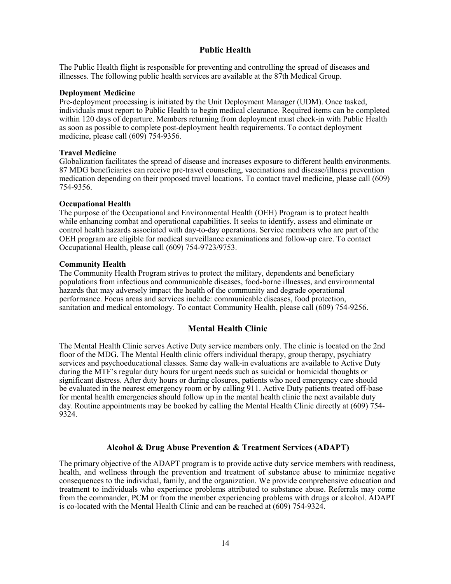#### **Public Health**

The Public Health flight is responsible for preventing and controlling the spread of diseases and illnesses. The following public health services are available at the 87th Medical Group.

#### **Deployment Medicine**

Pre-deployment processing is initiated by the Unit Deployment Manager (UDM). Once tasked, individuals must report to Public Health to begin medical clearance. Required items can be completed within 120 days of departure. Members returning from deployment must check-in with Public Health as soon as possible to complete post-deployment health requirements. To contact deployment medicine, please call (609) 754-9356.

#### **Travel Medicine**

Globalization facilitates the spread of disease and increases exposure to different health environments. 87 MDG beneficiaries can receive pre-travel counseling, vaccinations and disease/illness prevention medication depending on their proposed travel locations. To contact travel medicine, please call (609) 754-9356.

#### **Occupational Health**

The purpose of the Occupational and Environmental Health (OEH) Program is to protect health while enhancing combat and operational capabilities. It seeks to identify, assess and eliminate or control health hazards associated with day-to-day operations. Service members who are part of the OEH program are eligible for medical surveillance examinations and follow-up care. To contact Occupational Health, please call (609) 754-9723/9753.

#### **Community Health**

The Community Health Program strives to protect the military, dependents and beneficiary populations from infectious and communicable diseases, food-borne illnesses, and environmental hazards that may adversely impact the health of the community and degrade operational performance. Focus areas and services include: communicable diseases, food protection, sanitation and medical entomology. To contact Community Health, please call (609) 754-9256.

#### **Mental Health Clinic**

The Mental Health Clinic serves Active Duty service members only. The clinic is located on the 2nd floor of the MDG. The Mental Health clinic offers individual therapy, group therapy, psychiatry services and psychoeducational classes. Same day walk-in evaluations are available to Active Duty during the MTF's regular duty hours for urgent needs such as suicidal or homicidal thoughts or significant distress. After duty hours or during closures, patients who need emergency care should be evaluated in the nearest emergency room or by calling 911. Active Duty patients treated off-base for mental health emergencies should follow up in the mental health clinic the next available duty day. Routine appointments may be booked by calling the Mental Health Clinic directly at (609) 754- 9324.

#### **Alcohol & Drug Abuse Prevention & Treatment Services (ADAPT)**

The primary objective of the ADAPT program is to provide active duty service members with readiness, health, and wellness through the prevention and treatment of substance abuse to minimize negative consequences to the individual, family, and the organization. We provide comprehensive education and treatment to individuals who experience problems attributed to substance abuse. Referrals may come from the commander, PCM or from the member experiencing problems with drugs or alcohol. ADAPT is co-located with the Mental Health Clinic and can be reached at (609) 754-9324.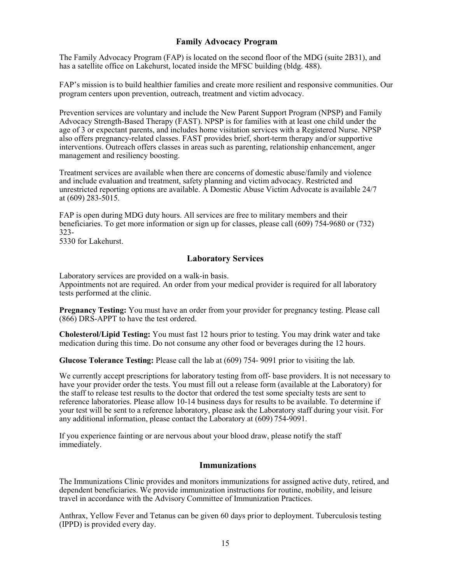#### **Family Advocacy Program**

The Family Advocacy Program (FAP) is located on the second floor of the MDG (suite 2B31), and has a satellite office on Lakehurst, located inside the MFSC building (bldg. 488).

FAP's mission is to build healthier families and create more resilient and responsive communities. Our program centers upon prevention, outreach, treatment and victim advocacy.

Prevention services are voluntary and include the New Parent Support Program (NPSP) and Family Advocacy Strength-Based Therapy (FAST). NPSP is for families with at least one child under the age of 3 or expectant parents, and includes home visitation services with a Registered Nurse. NPSP also offers pregnancy-related classes. FAST provides brief, short-term therapy and/or supportive interventions. Outreach offers classes in areas such as parenting, relationship enhancement, anger management and resiliency boosting.

Treatment services are available when there are concerns of domestic abuse/family and violence and include evaluation and treatment, safety planning and victim advocacy. Restricted and unrestricted reporting options are available. A Domestic Abuse Victim Advocate is available 24/7 at (609) 283-5015.

FAP is open during MDG duty hours. All services are free to military members and their beneficiaries. To get more information or sign up for classes, please call (609) 754-9680 or (732) 323-

5330 for Lakehurst.

#### **Laboratory Services**

Laboratory services are provided on a walk-in basis.

Appointments not are required. An order from your medical provider is required for all laboratory tests performed at the clinic.

**Pregnancy Testing:** You must have an order from your provider for pregnancy testing. Please call (866) DRS-APPT to have the test ordered.

**Cholesterol/Lipid Testing:** You must fast 12 hours prior to testing. You may drink water and take medication during this time. Do not consume any other food or beverages during the 12 hours.

**Glucose Tolerance Testing:** Please call the lab at (609) 754- 9091 prior to visiting the lab.

We currently accept prescriptions for laboratory testing from off- base providers. It is not necessary to have your provider order the tests. You must fill out a release form (available at the Laboratory) for the staff to release test results to the doctor that ordered the test some specialty tests are sent to reference laboratories. Please allow 10-14 business days for results to be available. To determine if your test will be sent to a reference laboratory, please ask the Laboratory staff during your visit. For any additional information, please contact the Laboratory at (609) 754-9091.

If you experience fainting or are nervous about your blood draw, please notify the staff immediately.

#### **Immunizations**

The Immunizations Clinic provides and monitors immunizations for assigned active duty, retired, and dependent beneficiaries. We provide immunization instructions for routine, mobility, and leisure travel in accordance with the Advisory Committee of Immunization Practices.

Anthrax, Yellow Fever and Tetanus can be given 60 days prior to deployment. Tuberculosis testing (IPPD) is provided every day.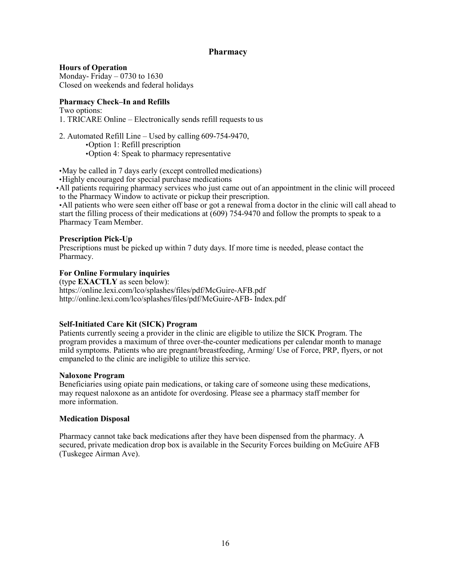#### **Pharmacy**

**Hours of Operation** Monday- Friday  $-0730$  to 1630 Closed on weekends and federal holidays

#### **Pharmacy Check–In and Refills**

Two options: 1. TRICARE Online – Electronically sends refill requests to us

2. Automated Refill Line – Used by calling 609-754-9470, •Option 1: Refill prescription •Option 4: Speak to pharmacy representative

•May be called in 7 days early (except controlled medications)

•Highly encouraged for special purchase medications

•All patients requiring pharmacy services who just came out of an appointment in the clinic will proceed to the Pharmacy Window to activate or pickup their prescription.

•All patients who were seen either off base or got a renewal froma doctor in the clinic will call ahead to start the filling process of their medications at (609) 754-9470 and follow the prompts to speak to a Pharmacy Team Member.

#### **Prescription Pick-Up**

Prescriptions must be picked up within 7 duty days. If more time is needed, please contact the Pharmacy.

#### **For Online Formulary inquiries**

(type **EXACTLY** as seen below): https://online.lexi.com/lco/splashes/files/pdf/McGuire-AFB.pdf <http://online.lexi.com/lco/splashes/files/pdf/McGuire-AFB-> Index.pdf

#### **Self-Initiated Care Kit (SICK) Program**

Patients currently seeing a provider in the clinic are eligible to utilize the SICK Program. The program provides a maximum of three over-the-counter medications per calendar month to manage mild symptoms. Patients who are pregnant/breastfeeding, Arming/ Use of Force, PRP, flyers, or not empaneled to the clinic are ineligible to utilize this service.

#### **Naloxone Program**

Beneficiaries using opiate pain medications, or taking care of someone using these medications, may request naloxone as an antidote for overdosing. Please see a pharmacy staff member for more information.

#### **Medication Disposal**

Pharmacy cannot take back medications after they have been dispensed from the pharmacy. A secured, private medication drop box is available in the Security Forces building on McGuire AFB (Tuskegee Airman Ave).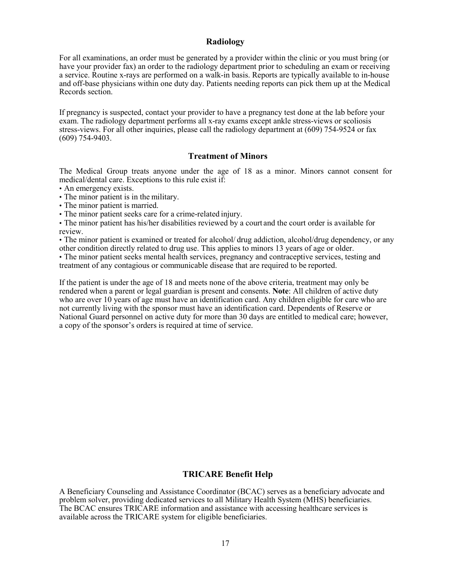#### **Radiology**

For all examinations, an order must be generated by a provider within the clinic or you must bring (or have your provider fax) an order to the radiology department prior to scheduling an exam or receiving a service. Routine x-rays are performed on a walk-in basis. Reports are typically available to in-house and off-base physicians within one duty day. Patients needing reports can pick them up at the Medical Records section.

If pregnancy is suspected, contact your provider to have a pregnancy test done at the lab before your exam. The radiology department performs all x-ray exams except ankle stress-views or scoliosis stress-views. For all other inquiries, please call the radiology department at (609) 754-9524 or fax (609) 754-9403.

#### **Treatment of Minors**

The Medical Group treats anyone under the age of 18 as a minor. Minors cannot consent for medical/dental care. Exceptions to this rule exist if:

- An emergency exists.
- The minor patient is in the military.
- The minor patient is married.
- The minor patient seeks care for a crime-related injury.

• The minor patient has his/her disabilities reviewed by a court and the court order is available for review.

• The minor patient is examined or treated for alcohol/ drug addiction, alcohol/drug dependency, or any other condition directly related to drug use. This applies to minors 13 years of age or older.

• The minor patient seeks mental health services, pregnancy and contraceptive services, testing and treatment of any contagious or communicable disease that are required to be reported.

If the patient is under the age of 18 and meets none of the above criteria, treatment may only be rendered when a parent or legal guardian is present and consents. **Note**: All children of active duty who are over 10 years of age must have an identification card. Any children eligible for care who are not currently living with the sponsor must have an identification card. Dependents of Reserve or National Guard personnel on active duty for more than 30 days are entitled to medical care; however, a copy of the sponsor's orders is required at time of service.

#### **TRICARE Benefit Help**

A Beneficiary Counseling and Assistance Coordinator (BCAC) serves as a beneficiary advocate and problem solver, providing dedicated services to all Military Health System (MHS) beneficiaries. The BCAC ensures TRICARE information and assistance with accessing healthcare services is available across the TRICARE system for eligible beneficiaries.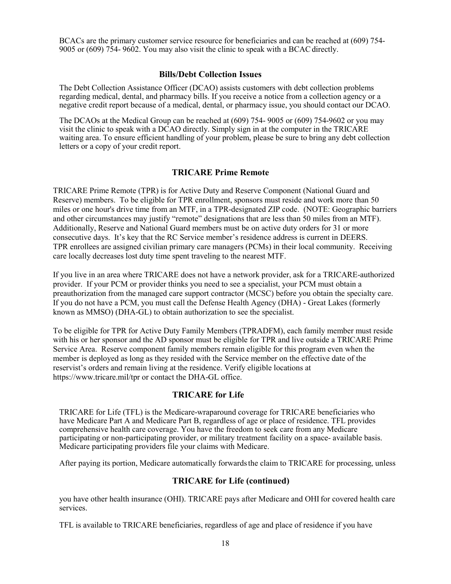BCACs are the primary customer service resource for beneficiaries and can be reached at (609) 754- 9005 or (609) 754- 9602. You may also visit the clinic to speak with a BCACdirectly.

#### **Bills/Debt Collection Issues**

The Debt Collection Assistance Officer (DCAO) assists customers with debt collection problems regarding medical, dental, and pharmacy bills. If you receive a notice from a collection agency or a negative credit report because of a medical, dental, or pharmacy issue, you should contact our DCAO.

The DCAOs at the Medical Group can be reached at (609) 754- 9005 or (609) 754-9602 or you may visit the clinic to speak with a DCAO directly. Simply sign in at the computer in the TRICARE waiting area. To ensure efficient handling of your problem, please be sure to bring any debt collection letters or a copy of your credit report.

#### **TRICARE Prime Remote**

TRICARE Prime Remote (TPR) is for Active Duty and Reserve Component (National Guard and Reserve) members. To be eligible for TPR enrollment, sponsors must reside and work more than 50 miles or one hour's drive time from an MTF, in a TPR-designated ZIP code. (NOTE: Geographic barriers and other circumstances may justify "remote" designations that are less than 50 miles from an MTF). Additionally, Reserve and National Guard members must be on active duty orders for 31 or more consecutive days. It's key that the RC Service member's residence address is current in DEERS. TPR enrollees are assigned civilian primary care managers (PCMs) in their local community. Receiving care locally decreases lost duty time spent traveling to the nearest MTF.

If you live in an area where TRICARE does not have a network provider, ask for a TRICARE-authorized provider. If your PCM or provider thinks you need to see a specialist, your PCM must obtain a preauthorization from the managed care support contractor (MCSC) before you obtain the specialty care. If you do not have a PCM, you must call the Defense Health Agency (DHA) - Great Lakes (formerly known as MMSO) (DHA-GL) to obtain authorization to see the specialist.

To be eligible for TPR for Active Duty Family Members (TPRADFM), each family member must reside with his or her sponsor and the AD sponsor must be eligible for TPR and live outside a TRICARE Prime Service Area. Reserve component family members remain eligible for this program even when the member is deployed as long as they resided with the Service member on the effective date of the reservist's orders and remain living at the residence. Verify eligible locations at <https://www.tricare.mil/tpr> or contact the DHA-GL office.

#### **TRICARE for Life**

TRICARE for Life (TFL) is the Medicare-wraparound coverage for TRICARE beneficiaries who have Medicare Part A and Medicare Part B, regardless of age or place of residence. TFL provides comprehensive health care coverage. You have the freedom to seek care from any Medicare participating or non-participating provider, or military treatment facility on a space- available basis. Medicare participating providers file your claims with Medicare.

After paying its portion, Medicare automatically forwards the claim to TRICARE for processing, unless

#### **TRICARE for Life (continued)**

you have other health insurance (OHI). TRICARE pays after Medicare and OHI for covered health care services.

TFL is available to TRICARE beneficiaries, regardless of age and place of residence if you have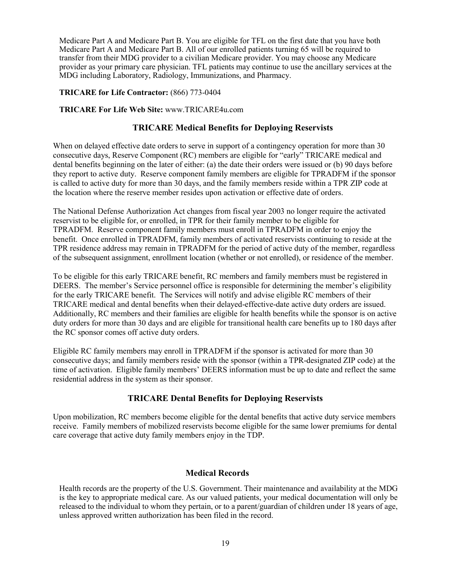Medicare Part A and Medicare Part B. You are eligible for TFL on the first date that you have both Medicare Part A and Medicare Part B. All of our enrolled patients turning 65 will be required to transfer from their MDG provider to a civilian Medicare provider. You may choose any Medicare provider as your primary care physician. TFL patients may continue to use the ancillary services at the MDG including Laboratory, Radiology, Immunizations, and Pharmacy.

#### **TRICARE for Life Contractor:** (866) 773-0404

#### **TRICARE For Life Web Site:** [www.TRICARE4u.com](http://www.tricare4u.com/)

#### **TRICARE Medical Benefits for Deploying Reservists**

When on delayed effective date orders to serve in support of a contingency operation for more than 30 consecutive days, Reserve Component (RC) members are eligible for "early" TRICARE medical and dental benefits beginning on the later of either: (a) the date their orders were issued or (b) 90 days before they report to active duty. Reserve component family members are eligible for TPRADFM if the sponsor is called to active duty for more than 30 days, and the family members reside within a TPR ZIP code at the location where the reserve member resides upon activation or effective date of orders.

The National Defense Authorization Act changes from fiscal year 2003 no longer require the activated reservist to be eligible for, or enrolled, in TPR for their family member to be eligible for TPRADFM. Reserve component family members must enroll in TPRADFM in order to enjoy the benefit. Once enrolled in TPRADFM, family members of activated reservists continuing to reside at the TPR residence address may remain in TPRADFM for the period of active duty of the member, regardless of the subsequent assignment, enrollment location (whether or not enrolled), or residence of the member.

To be eligible for this early TRICARE benefit, RC members and family members must be registered in DEERS. The member's Service personnel office is responsible for determining the member's eligibility for the early TRICARE benefit. The Services will notify and advise eligible RC members of their TRICARE medical and dental benefits when their delayed-effective-date active duty orders are issued. Additionally, RC members and their families are eligible for health benefits while the sponsor is on active duty orders for more than 30 days and are eligible for transitional health care benefits up to 180 days after the RC sponsor comes off active duty orders.

Eligible RC family members may enroll in TPRADFM if the sponsor is activated for more than 30 consecutive days; and family members reside with the sponsor (within a TPR-designated ZIP code) at the time of activation. Eligible family members' DEERS information must be up to date and reflect the same residential address in the system as their sponsor.

#### **TRICARE Dental Benefits for Deploying Reservists**

Upon mobilization, RC members become eligible for the dental benefits that active duty service members receive. Family members of mobilized reservists become eligible for the same lower premiums for dental care coverage that active duty family members enjoy in the TDP.

#### **Medical Records**

Health records are the property of the U.S. Government. Their maintenance and availability at the MDG is the key to appropriate medical care. As our valued patients, your medical documentation will only be released to the individual to whom they pertain, or to a parent/guardian of children under 18 years of age, unless approved written authorization has been filed in the record.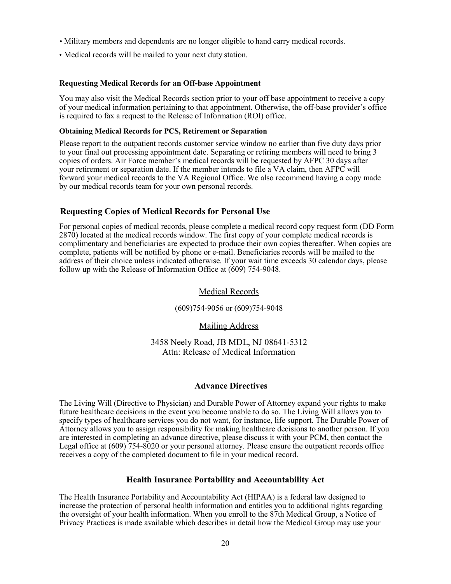- Military members and dependents are no longer eligible to hand carry medical records.
- Medical records will be mailed to your next duty station.

#### **Requesting Medical Records for an Off-base Appointment**

You may also visit the Medical Records section prior to your off base appointment to receive a copy of your medical information pertaining to that appointment. Otherwise, the off-base provider's office is required to fax a request to the Release of Information (ROI) office.

#### **Obtaining Medical Records for PCS, Retirement or Separation**

Please report to the outpatient records customer service window no earlier than five duty days prior to your final out processing appointment date. Separating or retiring members will need to bring 3 copies of orders. Air Force member's medical records will be requested by AFPC 30 days after your retirement or separation date. If the member intends to file a VA claim, then AFPC will forward your medical records to the VA Regional Office. We also recommend having a copy made by our medical records team for your own personal records.

#### **Requesting Copies of Medical Records for Personal Use**

For personal copies of medical records, please complete a medical record copy request form (DD Form 2870) located at the medical records window. The first copy of your complete medical records is complimentary and beneficiaries are expected to produce their own copies thereafter. When copies are complete, patients will be notified by phone or e-mail. Beneficiaries records will be mailed to the address of their choice unless indicated otherwise. If your wait time exceeds 30 calendar days, please follow up with the Release of Information Office at (609) 754-9048.

#### Medical Records

(609)754-9056 or (609)754-9048

Mailing Address

3458 Neely Road, JB MDL, NJ 08641-5312 Attn: Release of Medical Information

#### **Advance Directives**

The Living Will (Directive to Physician) and Durable Power of Attorney expand your rights to make future healthcare decisions in the event you become unable to do so. The Living Will allows you to specify types of healthcare services you do not want, for instance, life support. The Durable Power of Attorney allows you to assign responsibility for making healthcare decisions to another person. If you are interested in completing an advance directive, please discuss it with your PCM, then contact the Legal office at (609) 754-8020 or your personal attorney. Please ensure the outpatient records office receives a copy of the completed document to file in your medical record.

#### **Health Insurance Portability and Accountability Act**

The Health Insurance Portability and Accountability Act (HIPAA) is a federal law designed to increase the protection of personal health information and entitles you to additional rights regarding the oversight of your health information. When you enroll to the 87th Medical Group, a Notice of Privacy Practices is made available which describes in detail how the Medical Group may use your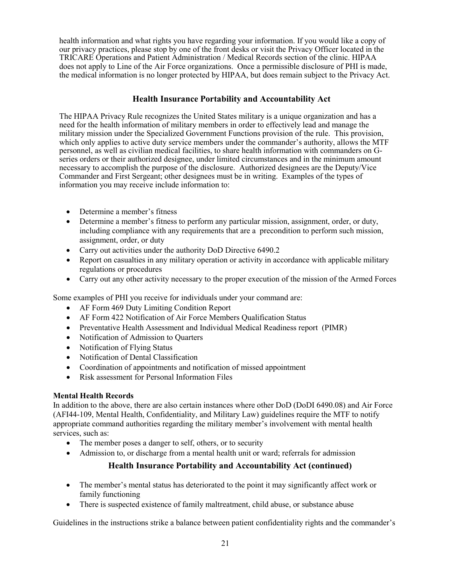health information and what rights you have regarding your information. If you would like a copy of our privacy practices, please stop by one of the front desks or visit the Privacy Officer located in the TRICARE Operations and Patient Administration / Medical Records section of the clinic. HIPAA does not apply to Line of the Air Force organizations. Once a permissible disclosure of PHI is made, the medical information is no longer protected by HIPAA, but does remain subject to the Privacy Act.

#### **Health Insurance Portability and Accountability Act**

The HIPAA Privacy Rule recognizes the United States military is a unique organization and has a need for the health information of military members in order to effectively lead and manage the military mission under the Specialized Government Functions provision of the rule. This provision, which only applies to active duty service members under the commander's authority, allows the MTF personnel, as well as civilian medical facilities, to share health information with commanders on Gseries orders or their authorized designee, under limited circumstances and in the minimum amount necessary to accomplish the purpose of the disclosure. Authorized designees are the Deputy/Vice Commander and First Sergeant; other designees must be in writing. Examples of the types of information you may receive include information to:

- Determine a member's fitness
- Determine a member's fitness to perform any particular mission, assignment, order, or duty, including compliance with any requirements that are a precondition to perform such mission, assignment, order, or duty
- Carry out activities under the authority DoD Directive 6490.2
- Report on casualties in any military operation or activity in accordance with applicable military regulations or procedures
- Carry out any other activity necessary to the proper execution of the mission of the Armed Forces

Some examples of PHI you receive for individuals under your command are:

- AF Form 469 Duty Limiting Condition Report
- AF Form 422 Notification of Air Force Members Qualification Status
- Preventative Health Assessment and Individual Medical Readiness report (PIMR)
- Notification of Admission to Quarters
- Notification of Flying Status
- Notification of Dental Classification
- Coordination of appointments and notification of missed appointment
- Risk assessment for Personal Information Files

#### **Mental Health Records**

In addition to the above, there are also certain instances where other DoD (DoDI 6490.08) and Air Force (AFI44-109, Mental Health, Confidentiality, and Military Law) guidelines require the MTF to notify appropriate command authorities regarding the military member's involvement with mental health services, such as:

- The member poses a danger to self, others, or to security
- Admission to, or discharge from a mental health unit or ward; referrals for admission

# **Health Insurance Portability and Accountability Act (continued)**

- The member's mental status has deteriorated to the point it may significantly affect work or family functioning
- There is suspected existence of family maltreatment, child abuse, or substance abuse

Guidelines in the instructions strike a balance between patient confidentiality rights and the commander's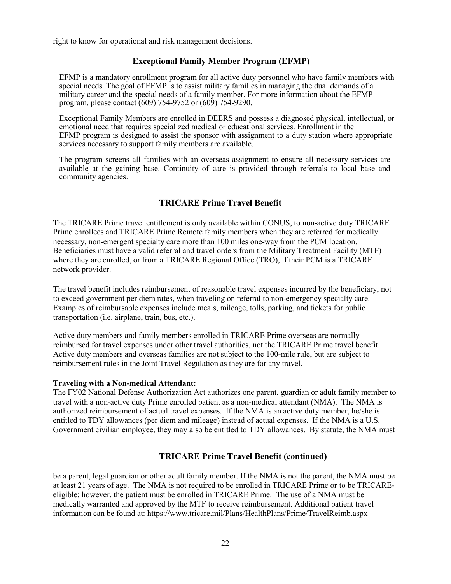right to know for operational and risk management decisions.

#### **Exceptional Family Member Program (EFMP)**

EFMP is a mandatory enrollment program for all active duty personnel who have family members with special needs. The goal of EFMP is to assist military families in managing the dual demands of a military career and the special needs of a family member. For more information about the EFMP program, please contact (609) 754-9752 or (609) 754-9290.

Exceptional Family Members are enrolled in DEERS and possess a diagnosed physical, intellectual, or emotional need that requires specialized medical or educational services. Enrollment in the EFMP program is designed to assist the sponsor with assignment to a duty station where appropriate services necessary to support family members are available.

The program screens all families with an overseas assignment to ensure all necessary services are available at the gaining base. Continuity of care is provided through referrals to local base and community agencies.

# **TRICARE Prime Travel Benefit**

The TRICARE Prime travel entitlement is only available within CONUS, to non-active duty TRICARE Prime enrollees and TRICARE Prime Remote family members when they are referred for medically necessary, non-emergent specialty care more than 100 miles one-way from the PCM location. Beneficiaries must have a valid referral and travel orders from the Military Treatment Facility (MTF) where they are enrolled, or from a TRICARE Regional Office (TRO), if their PCM is a TRICARE network provider.

The travel benefit includes reimbursement of reasonable travel expenses incurred by the beneficiary, not to exceed government per diem rates, when traveling on referral to non-emergency specialty care. Examples of reimbursable expenses include meals, mileage, tolls, parking, and tickets for public transportation (i.e. airplane, train, bus, etc.).

Active duty members and family members enrolled in TRICARE Prime overseas are normally reimbursed for travel expenses under other travel authorities, not the TRICARE Prime travel benefit. Active duty members and overseas families are not subject to the 100-mile rule, but are subject to reimbursement rules in the Joint Travel Regulation as they are for any travel.

#### **Traveling with a Non-medical Attendant:**

The FY02 National Defense Authorization Act authorizes one parent, guardian or adult family member to travel with a non-active duty Prime enrolled patient as a non-medical attendant (NMA). The NMA is authorized reimbursement of actual travel expenses. If the NMA is an active duty member, he/she is entitled to TDY allowances (per diem and mileage) instead of actual expenses. If the NMA is a U.S. Government civilian employee, they may also be entitled to TDY allowances. By statute, the NMA must

#### **TRICARE Prime Travel Benefit (continued)**

be a parent, legal guardian or other adult family member. If the NMA is not the parent, the NMA must be at least 21 years of age. The NMA is not required to be enrolled in TRICARE Prime or to be TRICAREeligible; however, the patient must be enrolled in TRICARE Prime. The use of a NMA must be medically warranted and approved by the MTF to receive reimbursement. Additional patient travel information can be found at:<https://www.tricare.mil/Plans/HealthPlans/Prime/TravelReimb.aspx>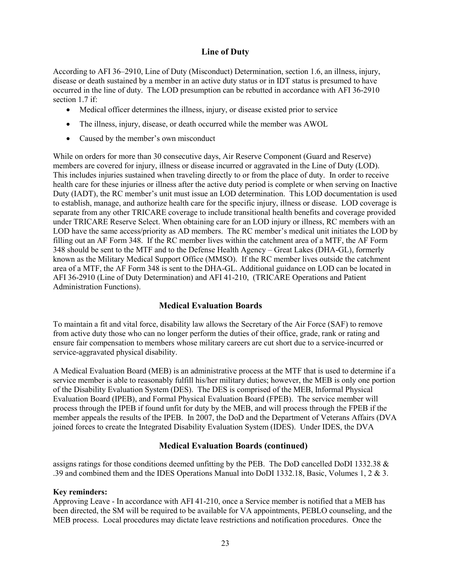#### **Line of Duty**

According to AFI 36–2910, Line of Duty (Misconduct) Determination, section 1.6, an illness, injury, disease or death sustained by a member in an active duty status or in IDT status is presumed to have occurred in the line of duty. The LOD presumption can be rebutted in accordance with AFI 36-2910 section 1.7 if:

- Medical officer determines the illness, injury, or disease existed prior to service
- The illness, injury, disease, or death occurred while the member was AWOL
- Caused by the member's own misconduct

While on orders for more than 30 consecutive days, Air Reserve Component (Guard and Reserve) members are covered for injury, illness or disease incurred or aggravated in the Line of Duty (LOD). This includes injuries sustained when traveling directly to or from the place of duty. In order to receive health care for these injuries or illness after the active duty period is complete or when serving on Inactive Duty (IADT), the RC member's unit must issue an LOD determination. This LOD documentation is used to establish, manage, and authorize health care for the specific injury, illness or disease. LOD coverage is separate from any other TRICARE coverage to include transitional health benefits and coverage provided under TRICARE Reserve Select. When obtaining care for an LOD injury or illness, RC members with an LOD have the same access/priority as AD members. The RC member's medical unit initiates the LOD by filling out an AF Form 348. If the RC member lives within the catchment area of a MTF, the AF Form 348 should be sent to the MTF and to the Defense Health Agency – Great Lakes (DHA-GL), formerly known as the Military Medical Support Office (MMSO). If the RC member lives outside the catchment area of a MTF, the AF Form 348 is sent to the DHA-GL. Additional guidance on LOD can be located in AFI 36-2910 (Line of Duty Determination) and AFI 41-210, (TRICARE Operations and Patient Administration Functions).

#### **Medical Evaluation Boards**

To maintain a fit and vital force, disability law allows the Secretary of the Air Force (SAF) to remove from active duty those who can no longer perform the duties of their office, grade, rank or rating and ensure fair compensation to members whose military careers are cut short due to a service-incurred or service-aggravated physical disability.

A Medical Evaluation Board (MEB) is an administrative process at the MTF that is used to determine if a service member is able to reasonably fulfill his/her military duties; however, the MEB is only one portion of the Disability Evaluation System (DES). The DES is comprised of the MEB, Informal Physical Evaluation Board (IPEB), and Formal Physical Evaluation Board (FPEB). The service member will process through the IPEB if found unfit for duty by the MEB, and will process through the FPEB if the member appeals the results of the IPEB. In 2007, the DoD and the Department of Veterans Affairs (DVA joined forces to create the Integrated Disability Evaluation System (IDES). Under IDES, the DVA

#### **Medical Evaluation Boards (continued)**

assigns ratings for those conditions deemed unfitting by the PEB. The DoD cancelled DoDI 1332.38 & .39 and combined them and the IDES Operations Manual into DoDI 1332.18, Basic, Volumes 1, 2 & 3.

#### **Key reminders:**

Approving Leave - In accordance with AFI 41-210, once a Service member is notified that a MEB has been directed, the SM will be required to be available for VA appointments, PEBLO counseling, and the MEB process. Local procedures may dictate leave restrictions and notification procedures. Once the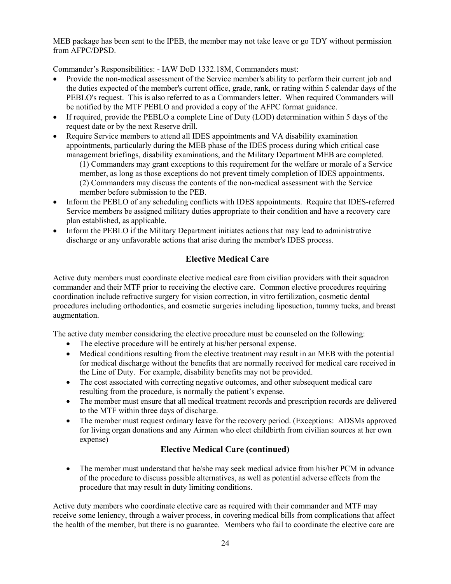MEB package has been sent to the IPEB, the member may not take leave or go TDY without permission from AFPC/DPSD.

Commander's Responsibilities: - IAW DoD 1332.18M, Commanders must:

- Provide the non-medical assessment of the Service member's ability to perform their current job and the duties expected of the member's current office, grade, rank, or rating within 5 calendar days of the PEBLO's request. This is also referred to as a Commanders letter. When required Commanders will be notified by the MTF PEBLO and provided a copy of the AFPC format guidance.
- If required, provide the PEBLO a complete Line of Duty (LOD) determination within 5 days of the request date or by the next Reserve drill.
- Require Service members to attend all IDES appointments and VA disability examination appointments, particularly during the MEB phase of the IDES process during which critical case management briefings, disability examinations, and the Military Department MEB are completed.

(1) Commanders may grant exceptions to this requirement for the welfare or morale of a Service member, as long as those exceptions do not prevent timely completion of IDES appointments. (2) Commanders may discuss the contents of the non-medical assessment with the Service member before submission to the PEB.

- Inform the PEBLO of any scheduling conflicts with IDES appointments. Require that IDES-referred Service members be assigned military duties appropriate to their condition and have a recovery care plan established, as applicable.
- Inform the PEBLO if the Military Department initiates actions that may lead to administrative discharge or any unfavorable actions that arise during the member's IDES process.

# **Elective Medical Care**

Active duty members must coordinate elective medical care from civilian providers with their squadron commander and their MTF prior to receiving the elective care. Common elective procedures requiring coordination include refractive surgery for vision correction, in vitro fertilization, cosmetic dental procedures including orthodontics, and cosmetic surgeries including liposuction, tummy tucks, and breast augmentation.

The active duty member considering the elective procedure must be counseled on the following:

- The elective procedure will be entirely at his/her personal expense.
- Medical conditions resulting from the elective treatment may result in an MEB with the potential for medical discharge without the benefits that are normally received for medical care received in the Line of Duty. For example, disability benefits may not be provided.
- The cost associated with correcting negative outcomes, and other subsequent medical care resulting from the procedure, is normally the patient's expense.
- The member must ensure that all medical treatment records and prescription records are delivered to the MTF within three days of discharge.
- The member must request ordinary leave for the recovery period. (Exceptions: ADSMs approved for living organ donations and any Airman who elect childbirth from civilian sources at her own expense)

# **Elective Medical Care (continued)**

• The member must understand that he/she may seek medical advice from his/her PCM in advance of the procedure to discuss possible alternatives, as well as potential adverse effects from the procedure that may result in duty limiting conditions.

Active duty members who coordinate elective care as required with their commander and MTF may receive some leniency, through a waiver process, in covering medical bills from complications that affect the health of the member, but there is no guarantee. Members who fail to coordinate the elective care are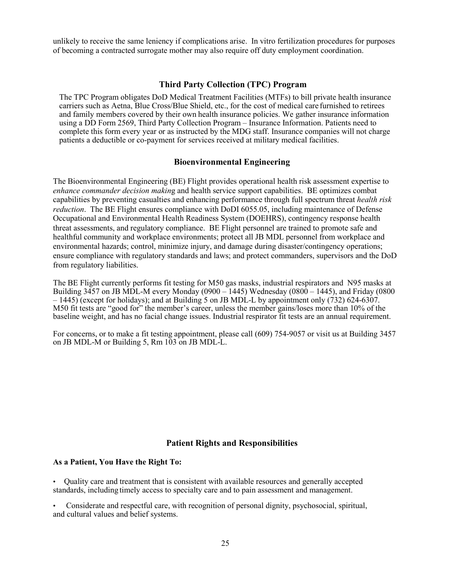unlikely to receive the same leniency if complications arise. In vitro fertilization procedures for purposes of becoming a contracted surrogate mother may also require off duty employment coordination.

#### **Third Party Collection (TPC) Program**

The TPC Program obligates DoD Medical Treatment Facilities (MTFs) to bill private health insurance carriers such as Aetna, Blue Cross/Blue Shield, etc., for the cost of medical care furnished to retirees and family members covered by their own health insurance policies. We gather insurance information using a DD Form 2569, Third Party Collection Program – Insurance Information. Patients need to complete this form every year or as instructed by the MDG staff. Insurance companies will not charge patients a deductible or co-payment for services received at military medical facilities.

#### **Bioenvironmental Engineering**

The Bioenvironmental Engineering (BE) Flight provides operational health risk assessment expertise to *enhance commander decision makin*g and health service support capabilities. BE optimizes combat capabilities by preventing casualties and enhancing performance through full spectrum threat *health risk reduction*. The BE Flight ensures compliance with DoDI 6055.05, including maintenance of Defense Occupational and Environmental Health Readiness System (DOEHRS), contingency response health threat assessments, and regulatory compliance. BE Flight personnel are trained to promote safe and healthful community and workplace environments; protect all JB MDL personnel from workplace and environmental hazards; control, minimize injury, and damage during disaster/contingency operations; ensure compliance with regulatory standards and laws; and protect commanders, supervisors and the DoD from regulatory liabilities.

The BE Flight currently performs fit testing for M50 gas masks, industrial respirators and N95 masks at Building  $3\overline{4}57$  on JB MDL-M every Monday (0900 – 1445) Wednesday (0800 – 1445), and Friday (0800  $-1445$ ) (except for holidays); and at Building 5 on JB MDL-L by appointment only (732) 624-6307. M50 fit tests are "good for" the member's career, unless the member gains/loses more than 10% of the baseline weight, and has no facial change issues. Industrial respirator fit tests are an annual requirement.

For concerns, or to make a fit testing appointment, please call (609) 754-9057 or visit us at Building 3457 on JB MDL-M or Building 5, Rm 103 on JB MDL-L.

#### **Patient Rights and Responsibilities**

#### **As a Patient, You Have the Right To:**

• Quality care and treatment that is consistent with available resources and generally accepted standards, including timely access to specialty care and to pain assessment and management.

• Considerate and respectful care, with recognition of personal dignity, psychosocial, spiritual, and cultural values and belief systems.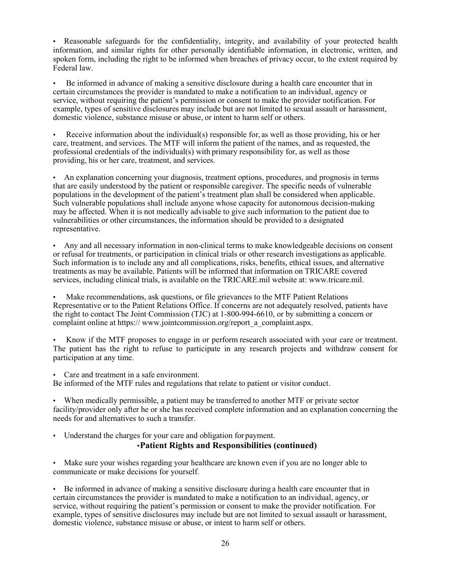• Reasonable safeguards for the confidentiality, integrity, and availability of your protected health information, and similar rights for other personally identifiable information, in electronic, written, and spoken form, including the right to be informed when breaches of privacy occur, to the extent required by Federal law.

• Be informed in advance of making a sensitive disclosure during a health care encounter that in certain circumstances the provider is mandated to make a notification to an individual, agency or service, without requiring the patient's permission or consent to make the provider notification. For example, types of sensitive disclosures may include but are not limited to sexual assault or harassment, domestic violence, substance misuse or abuse, or intent to harm self or others.

• Receive information about the individual(s) responsible for, as well as those providing, his or her care, treatment, and services. The MTF will inform the patient of the names, and as requested, the professional credentials of the individual(s) with primary responsibility for, as well as those providing, his or her care, treatment, and services.

• An explanation concerning your diagnosis, treatment options, procedures, and prognosis in terms that are easily understood by the patient or responsible caregiver. The specific needs of vulnerable populations in the development of the patient's treatment plan shall be considered when applicable. Such vulnerable populations shall include anyone whose capacity for autonomous decision-making may be affected. When it is not medically advisable to give such information to the patient due to vulnerabilities or other circumstances, the information should be provided to a designated representative.

• Any and all necessary information in non-clinical terms to make knowledgeable decisions on consent or refusal for treatments, or participation in clinical trials or other research investigations as applicable. Such information is to include any and all complications, risks, benefits, ethical issues, and alternative treatments as may be available. Patients will be informed that information on TRICARE covered services, including clinical trials, is available on the TRICARE.mil website at: [www.tricare.mil.](http://www.tricare.mil/)

Make recommendations, ask questions, or file grievances to the MTF Patient Relations Representative or to the Patient Relations Office. If concerns are not adequately resolved, patients have the right to contact The Joint Commission (TJC) at 1-800-994-6610, or by submitting a concern or complaint online at https:// [www.jointcommission.org/report\\_a\\_complaint.aspx.](http://www.jointcommission.org/report_a_complaint.aspx)

• Know if the MTF proposes to engage in or perform research associated with your care or treatment. The patient has the right to refuse to participate in any research projects and withdraw consent for participation at any time.

• Care and treatment in a safe environment.

Be informed of the MTF rules and regulations that relate to patient or visitor conduct.

• When medically permissible, a patient may be transferred to another MTF or private sector facility/provider only after he or she has received complete information and an explanation concerning the needs for and alternatives to such a transfer.

Understand the charges for your care and obligation for payment.

#### •**Patient Rights and Responsibilities (continued)**

Make sure your wishes regarding your healthcare are known even if you are no longer able to communicate or make decisions for yourself.

• Be informed in advance of making a sensitive disclosure during a health care encounter that in certain circumstances the provider is mandated to make a notification to an individual, agency, or service, without requiring the patient's permission or consent to make the provider notification. For example, types of sensitive disclosures may include but are not limited to sexual assault or harassment, domestic violence, substance misuse or abuse, or intent to harm self or others.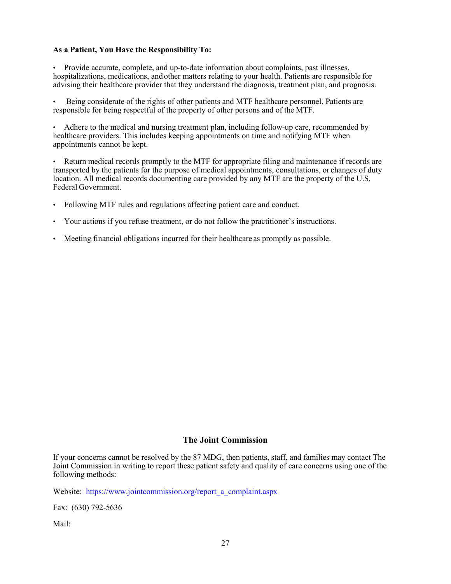#### **As a Patient, You Have the Responsibility To:**

• Provide accurate, complete, and up-to-date information about complaints, past illnesses, hospitalizations, medications, andother matters relating to your health. Patients are responsible for advising their healthcare provider that they understand the diagnosis, treatment plan, and prognosis.

• Being considerate of the rights of other patients and MTF healthcare personnel. Patients are responsible for being respectful of the property of other persons and of the MTF.

• Adhere to the medical and nursing treatment plan, including follow-up care, recommended by healthcare providers. This includes keeping appointments on time and notifying MTF when appointments cannot be kept.

• Return medical records promptly to the MTF for appropriate filing and maintenance if records are transported by the patients for the purpose of medical appointments, consultations, or changes of duty location. All medical records documenting care provided by any MTF are the property of the U.S. Federal Government.

- Following MTF rules and regulations affecting patient care and conduct.
- Your actions if you refuse treatment, or do not follow the practitioner's instructions.
- Meeting financial obligations incurred for their healthcare as promptly as possible.

#### **The Joint Commission**

If your concerns cannot be resolved by the 87 MDG, then patients, staff, and families may contact The Joint Commission in writing to report these patient safety and quality of care concerns using one of the following methods:

Website: [https://www.jointcommission.org/report\\_a\\_complaint.aspx](https://www.jointcommission.org/report_a_complaint.aspx)

Fax: (630) 792-5636

Mail: